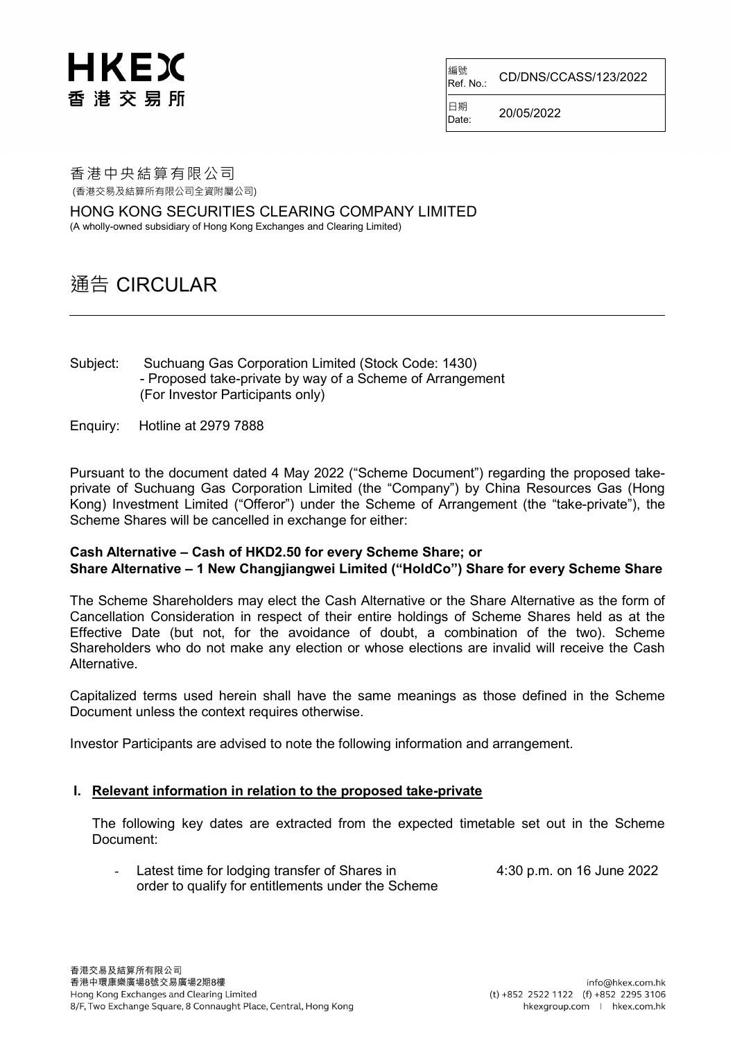# HKEX 香港交易所

編號<br>Ref. No.: Ref. No.: CD/DNS/CCASS/123/2022

 $D_{\text{late}}$  20/05/2022

日期

香港中央結算有限公司 (香港交易及結算所有限公司全資附屬公司)

HONG KONG SECURITIES CLEARING COMPANY LIMITED

(A wholly-owned subsidiary of Hong Kong Exchanges and Clearing Limited)

# 通告 CIRCULAR

- Subject: Suchuang Gas Corporation Limited (Stock Code: 1430) - Proposed take-private by way of a Scheme of Arrangement (For Investor Participants only)
- Enquiry: Hotline at 2979 7888

Pursuant to the document dated 4 May 2022 ("Scheme Document") regarding the proposed takeprivate of Suchuang Gas Corporation Limited (the "Company") by China Resources Gas (Hong Kong) Investment Limited ("Offeror") under the Scheme of Arrangement (the "take-private"), the Scheme Shares will be cancelled in exchange for either:

#### **Cash Alternative – Cash of HKD2.50 for every Scheme Share; or Share Alternative – 1 New Changjiangwei Limited ("HoldCo") Share for every Scheme Share**

The Scheme Shareholders may elect the Cash Alternative or the Share Alternative as the form of Cancellation Consideration in respect of their entire holdings of Scheme Shares held as at the Effective Date (but not, for the avoidance of doubt, a combination of the two). Scheme Shareholders who do not make any election or whose elections are invalid will receive the Cash **Alternative** 

Capitalized terms used herein shall have the same meanings as those defined in the Scheme Document unless the context requires otherwise.

Investor Participants are advised to note the following information and arrangement.

### **I. Relevant information in relation to the proposed take-private**

The following key dates are extracted from the expected timetable set out in the Scheme Document:

- Latest time for lodging transfer of Shares in 4:30 p.m. on 16 June 2022 order to qualify for entitlements under the Scheme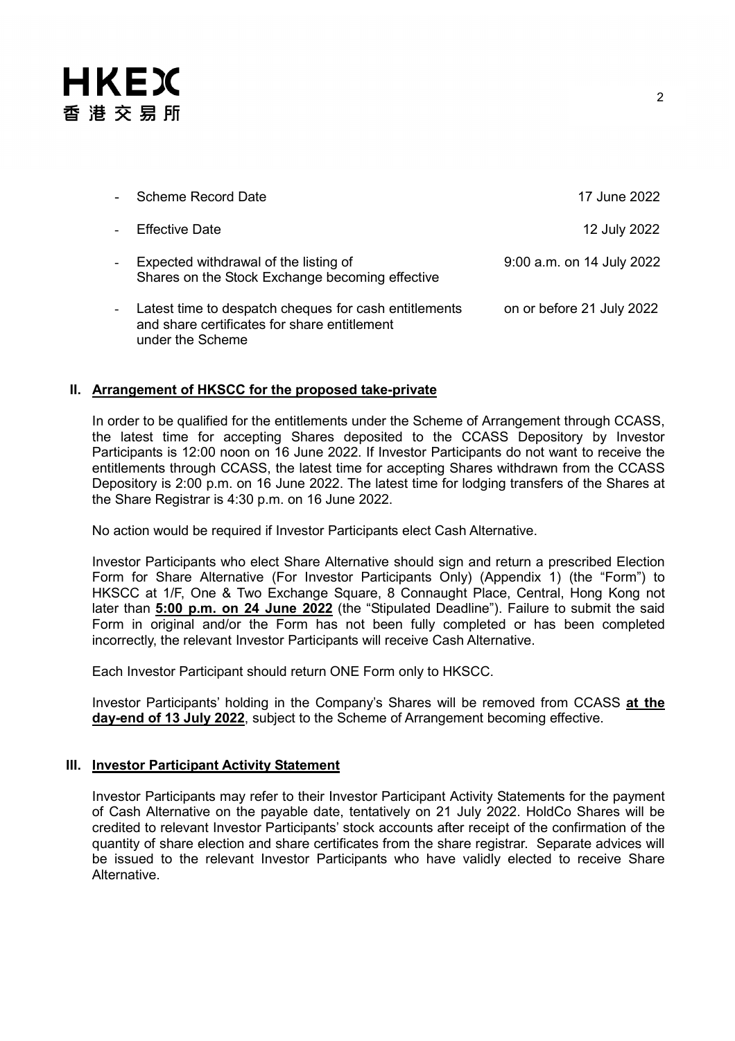# **HKEX** 香港交易所

|                | Scheme Record Date                                                                                                        | 17 June 2022              |
|----------------|---------------------------------------------------------------------------------------------------------------------------|---------------------------|
|                | Effective Date                                                                                                            | 12 July 2022              |
| $\blacksquare$ | Expected withdrawal of the listing of<br>Shares on the Stock Exchange becoming effective                                  | 9:00 a.m. on 14 July 2022 |
|                | Latest time to despatch cheques for cash entitlements<br>and share certificates for share entitlement<br>under the Scheme | on or before 21 July 2022 |

#### **II. Arrangement of HKSCC for the proposed take-private**

In order to be qualified for the entitlements under the Scheme of Arrangement through CCASS, the latest time for accepting Shares deposited to the CCASS Depository by Investor Participants is 12:00 noon on 16 June 2022. If Investor Participants do not want to receive the entitlements through CCASS, the latest time for accepting Shares withdrawn from the CCASS Depository is 2:00 p.m. on 16 June 2022. The latest time for lodging transfers of the Shares at the Share Registrar is 4:30 p.m. on 16 June 2022.

No action would be required if Investor Participants elect Cash Alternative.

Investor Participants who elect Share Alternative should sign and return a prescribed Election Form for Share Alternative (For Investor Participants Only) (Appendix 1) (the "Form") to HKSCC at 1/F, One & Two Exchange Square, 8 Connaught Place, Central, Hong Kong not later than **5:00 p.m. on 24 June 2022** (the "Stipulated Deadline"). Failure to submit the said Form in original and/or the Form has not been fully completed or has been completed incorrectly, the relevant Investor Participants will receive Cash Alternative.

Each Investor Participant should return ONE Form only to HKSCC.

Investor Participants' holding in the Company's Shares will be removed from CCASS **at the day-end of 13 July 2022**, subject to the Scheme of Arrangement becoming effective.

## **III. Investor Participant Activity Statement**

Investor Participants may refer to their Investor Participant Activity Statements for the payment of Cash Alternative on the payable date, tentatively on 21 July 2022. HoldCo Shares will be credited to relevant Investor Participants' stock accounts after receipt of the confirmation of the quantity of share election and share certificates from the share registrar. Separate advices will be issued to the relevant Investor Participants who have validly elected to receive Share Alternative.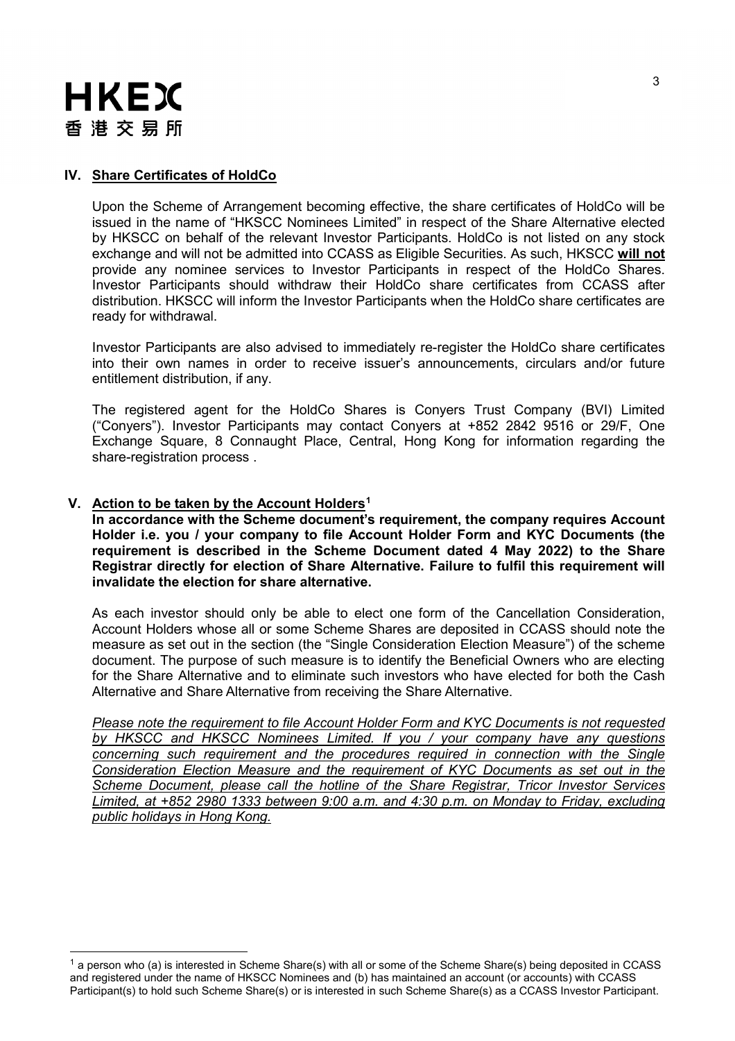

#### **IV. Share Certificates of HoldCo**

Upon the Scheme of Arrangement becoming effective, the share certificates of HoldCo will be issued in the name of "HKSCC Nominees Limited" in respect of the Share Alternative elected by HKSCC on behalf of the relevant Investor Participants. HoldCo is not listed on any stock exchange and will not be admitted into CCASS as Eligible Securities. As such, HKSCC **will not** provide any nominee services to Investor Participants in respect of the HoldCo Shares. Investor Participants should withdraw their HoldCo share certificates from CCASS after distribution. HKSCC will inform the Investor Participants when the HoldCo share certificates are ready for withdrawal.

Investor Participants are also advised to immediately re-register the HoldCo share certificates into their own names in order to receive issuer's announcements, circulars and/or future entitlement distribution, if any.

The registered agent for the HoldCo Shares is Conyers Trust Company (BVI) Limited ("Conyers"). Investor Participants may contact Conyers at +852 2842 9516 or 29/F, One Exchange Square, 8 Connaught Place, Central, Hong Kong for information regarding the share-registration process .

## **V. Action to be taken by the Account Holders[1](#page-2-0)**

**In accordance with the Scheme document's requirement, the company requires Account Holder i.e. you / your company to file Account Holder Form and KYC Documents (the requirement is described in the Scheme Document dated 4 May 2022) to the Share Registrar directly for election of Share Alternative. Failure to fulfil this requirement will invalidate the election for share alternative.**

As each investor should only be able to elect one form of the Cancellation Consideration, Account Holders whose all or some Scheme Shares are deposited in CCASS should note the measure as set out in the section (the "Single Consideration Election Measure") of the scheme document. The purpose of such measure is to identify the Beneficial Owners who are electing for the Share Alternative and to eliminate such investors who have elected for both the Cash Alternative and Share Alternative from receiving the Share Alternative.

*Please note the requirement to file Account Holder Form and KYC Documents is not requested by HKSCC and HKSCC Nominees Limited. If you / your company have any questions concerning such requirement and the procedures required in connection with the Single Consideration Election Measure and the requirement of KYC Documents as set out in the Scheme Document, please call the hotline of the Share Registrar, Tricor Investor Services Limited, at +852 2980 1333 between 9:00 a.m. and 4:30 p.m. on Monday to Friday, excluding public holidays in Hong Kong.*

<span id="page-2-0"></span> $1$  a person who (a) is interested in Scheme Share(s) with all or some of the Scheme Share(s) being deposited in CCASS and registered under the name of HKSCC Nominees and (b) has maintained an account (or accounts) with CCASS Participant(s) to hold such Scheme Share(s) or is interested in such Scheme Share(s) as a CCASS Investor Participant.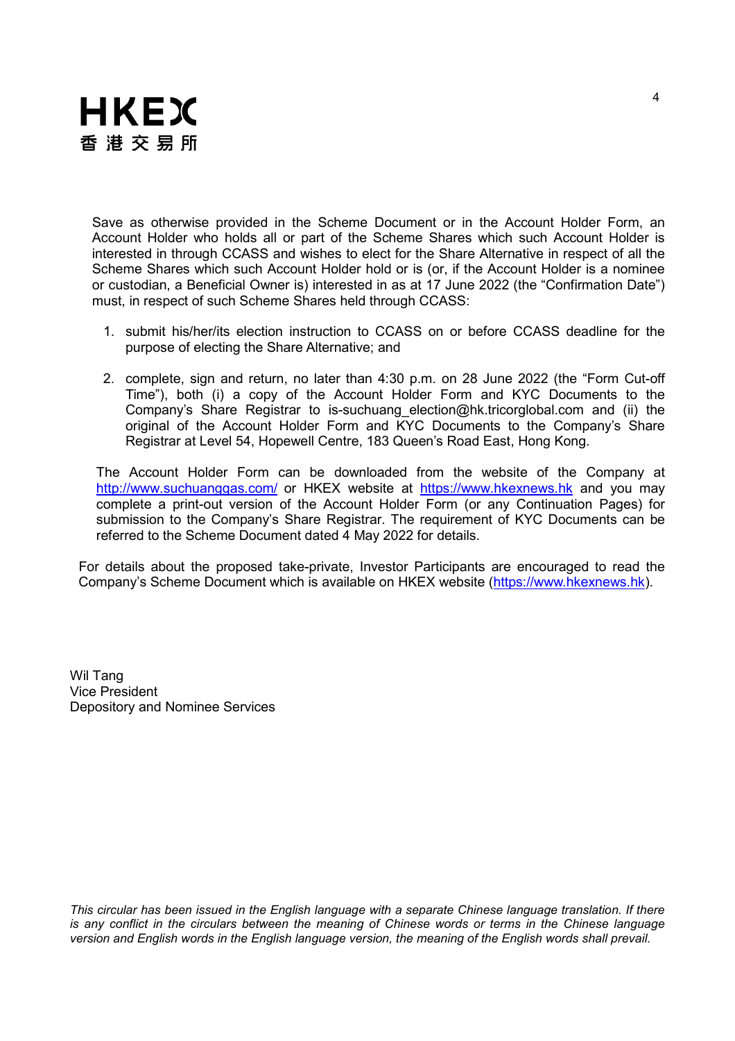

Save as otherwise provided in the Scheme Document or in the Account Holder Form, an Account Holder who holds all or part of the Scheme Shares which such Account Holder is interested in through CCASS and wishes to elect for the Share Alternative in respect of all the Scheme Shares which such Account Holder hold or is (or, if the Account Holder is a nominee or custodian, a Beneficial Owner is) interested in as at 17 June 2022 (the "Confirmation Date") must, in respect of such Scheme Shares held through CCASS:

- 1. submit his/her/its election instruction to CCASS on or before CCASS deadline for the purpose of electing the Share Alternative; and
- 2. complete, sign and return, no later than 4:30 p.m. on 28 June 2022 (the "Form Cut-off Time"), both (i) a copy of the Account Holder Form and KYC Documents to the Company's Share Registrar to is-suchuang\_election@hk.tricorglobal.com and (ii) the original of the Account Holder Form and KYC Documents to the Company's Share Registrar at Level 54, Hopewell Centre, 183 Queen's Road East, Hong Kong.

The Account Holder Form can be downloaded from the website of the Company at <http://www.suchuanggas.com/> or HKEX website at [https://www.hkexnews.hk](https://www.hkexnews.hk/) and you may complete a print-out version of the Account Holder Form (or any Continuation Pages) for submission to the Company's Share Registrar. The requirement of KYC Documents can be referred to the Scheme Document dated 4 May 2022 for details.

For details about the proposed take-private, Investor Participants are encouraged to read the Company's Scheme Document which is available on HKEX website [\(https://www.hkexnews.hk\)](https://www.hkexnews.hk/).

Wil Tang Vice President Depository and Nominee Services

*This circular has been issued in the English language with a separate Chinese language translation. If there is any conflict in the circulars between the meaning of Chinese words or terms in the Chinese language version and English words in the English language version, the meaning of the English words shall prevail.*